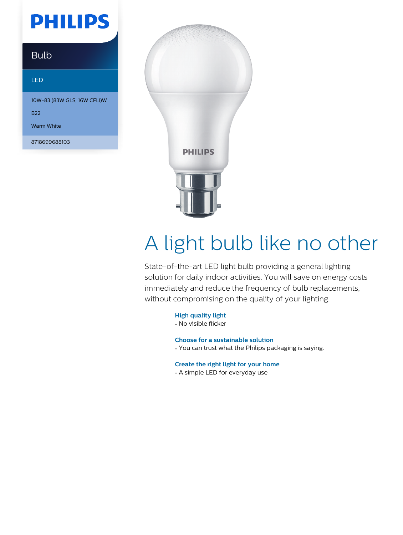## **PHILIPS**

### Bulb

#### LED

10W-83 (83W GLS, 16W CFLi)W

B22

Warm White

8718699688103



# A light bulb like no other

State-of-the-art LED light bulb providing a general lighting solution for daily indoor activities. You will save on energy costs immediately and reduce the frequency of bulb replacements, without compromising on the quality of your lighting.

**High quality light**

• No visible flicker

**Choose for a sustainable solution**

• You can trust what the Philips packaging is saying.

**Create the right light for your home**

• A simple LED for everyday use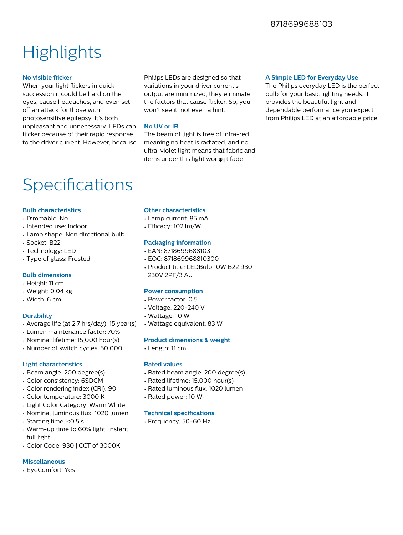### **Highlights**

#### **No visible flicker**

When your light flickers in quick succession it could be hard on the eyes, cause headaches, and even set off an attack for those with photosensitive epilepsy. It's both unpleasant and unnecessary. LEDs can flicker because of their rapid response to the driver current. However, because

Philips LEDs are designed so that variations in your driver current's output are minimized, they eliminate the factors that cause flicker. So, you won't see it, not even a hint.

#### **No UV or IR**

The beam of light is free of infra-red meaning no heat is radiated, and no ultra-violet light means that fabric and items under this light wonφηt fade.

#### **A Simple LED for Everyday Use**

The Philips everyday LED is the perfect bulb for your basic lighting needs. It provides the beautiful light and dependable performance you expect from Philips LED at an affordable price.

### Specifications

#### **Bulb characteristics**

- Dimmable: No
- Intended use: Indoor
- Lamp shape: Non directional bulb
- Socket: B22
- Technology: LED
- Type of glass: Frosted

#### **Bulb dimensions**

- Height: 11 cm
- Weight: 0.04 kg
- Width: 6 cm

#### **Durability**

- Average life (at 2.7 hrs/day): 15 year(s)
- Lumen maintenance factor: 70%
- Nominal lifetime: 15,000 hour(s)
- Number of switch cycles: 50,000

#### **Light characteristics**

- Beam angle: 200 degree(s)
- Color consistency: 6SDCM
- Color rendering index (CRI): 90
- Color temperature: 3000 K
- Light Color Category: Warm White
- Nominal luminous flux: 1020 lumen
- Starting time: <0.5 s
- Warm-up time to 60% light: Instant full light
- Color Code: 930 | CCT of 3000K

#### **Miscellaneous**

• EyeComfort: Yes

#### **Other characteristics**

- Lamp current: 85 mA
- $\cdot$  Efficacy: 102 lm/W

#### **Packaging information**

- EAN: 8718699688103
- EOC: 871869968810300
- Product title: LEDBulb 10W B22 930 230V 2PF/3 AU

#### **Power consumption**

- Power factor: 0.5
- Voltage: 220-240 V
- Wattage: 10 W
- Wattage equivalent: 83 W

#### **Product dimensions & weight**

• Length: 11 cm

#### **Rated values**

- Rated beam angle: 200 degree(s)
- Rated lifetime: 15,000 hour(s)
- Rated luminous flux: 1020 lumen
- Rated power: 10 W

#### **Technical specifications**

• Frequency: 50-60 Hz